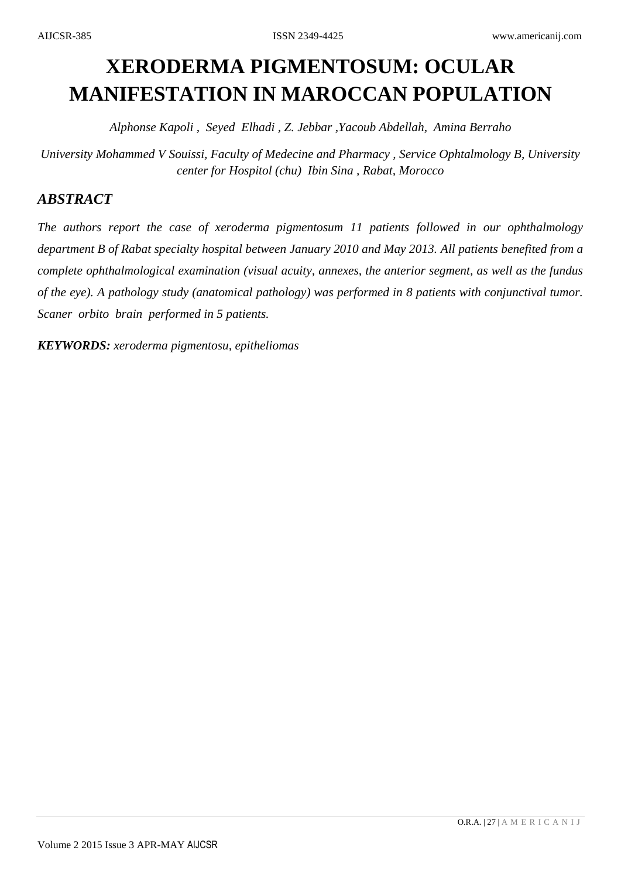# **XERODERMA PIGMENTOSUM: OCULAR MANIFESTATION IN MAROCCAN POPULATION**

*Alphonse Kapoli , Seyed Elhadi , Z. Jebbar ,Yacoub Abdellah, Amina Berraho*

*University Mohammed V Souissi, Faculty of Medecine and Pharmacy , Service Ophtalmology B, University center for Hospitol (chu) Ibin Sina , Rabat, Morocco*

## *ABSTRACT*

*The authors report the case of xeroderma pigmentosum 11 patients followed in our ophthalmology department B of Rabat specialty hospital between January 2010 and May 2013. All patients benefited from a complete ophthalmological examination (visual acuity, annexes, the anterior segment, as well as the fundus of the eye). A pathology study (anatomical pathology) was performed in 8 patients with conjunctival tumor. Scaner orbito brain performed in 5 patients.*

*KEYWORDS: xeroderma pigmentosu, epitheliomas*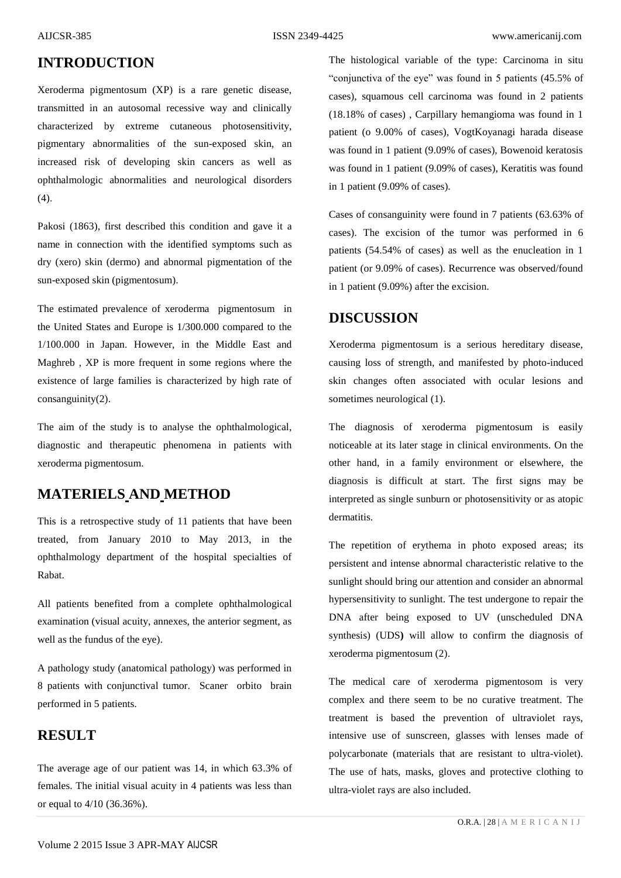# **INTRODUCTION**

Xeroderma pigmentosum (XP) is a rare genetic disease, transmitted in an autosomal recessive way and clinically characterized by extreme cutaneous photosensitivity, pigmentary abnormalities of the sun-exposed skin, an increased risk of developing skin cancers as well as ophthalmologic abnormalities and neurological disorders (4).

Pakosi (1863), first described this condition and gave it a name in connection with the identified symptoms such as dry (xero) skin (dermo) and abnormal pigmentation of the sun-exposed skin (pigmentosum).

The estimated prevalence of xeroderma pigmentosum in the United States and Europe is 1/300.000 compared to the 1/100.000 in Japan. However, in the Middle East and Maghreb , XP is more frequent in some regions where the existence of large families is characterized by high rate of consanguinity(2).

The aim of the study is to analyse the ophthalmological, diagnostic and therapeutic phenomena in patients with xeroderma pigmentosum.

# **MATERIELS AND METHOD**

This is a retrospective study of 11 patients that have been treated, from January 2010 to May 2013, in the ophthalmology department of the hospital specialties of Rabat.

All patients benefited from a complete ophthalmological examination (visual acuity, annexes, the anterior segment, as well as the fundus of the eye).

A pathology study (anatomical pathology) was performed in 8 patients with conjunctival tumor. Scaner orbito brain performed in 5 patients.

#### **RESULT**

The average age of our patient was 14, in which 63.3% of females. The initial visual acuity in 4 patients was less than or equal to 4/10 (36.36%).

The histological variable of the type: Carcinoma in situ "conjunctiva of the eye" was found in 5 patients (45.5% of cases), squamous cell carcinoma was found in 2 patients (18.18% of cases) , Carpillary hemangioma was found in 1 patient (o 9.00% of cases), VogtKoyanagi harada disease was found in 1 patient (9.09% of cases), Bowenoid keratosis was found in 1 patient (9.09% of cases), Keratitis was found in 1 patient (9.09% of cases).

Cases of consanguinity were found in 7 patients (63.63% of cases). The excision of the tumor was performed in 6 patients (54.54% of cases) as well as the enucleation in 1 patient (or 9.09% of cases). Recurrence was observed/found in 1 patient (9.09%) after the excision.

### **DISCUSSION**

Xeroderma pigmentosum is a serious hereditary disease, causing loss of strength, and manifested by photo-induced skin changes often associated with ocular lesions and sometimes neurological (1).

The diagnosis of xeroderma pigmentosum is easily noticeable at its later stage in clinical environments. On the other hand, in a family environment or elsewhere, the diagnosis is difficult at start. The first signs may be interpreted as single sunburn or photosensitivity or as atopic dermatitis.

The repetition of erythema in photo exposed areas; its persistent and intense abnormal characteristic relative to the sunlight should bring our attention and consider an abnormal hypersensitivity to sunlight. The test undergone to repair the DNA after being exposed to UV (unscheduled DNA synthesis) (UDS**)** will allow to confirm the diagnosis of xeroderma pigmentosum (2).

The medical care of xeroderma pigmentosom is very complex and there seem to be no curative treatment. The treatment is based the prevention of ultraviolet rays, intensive use of sunscreen, glasses with lenses made of polycarbonate (materials that are resistant to ultra-violet). The use of hats, masks, gloves and protective clothing to ultra-violet rays are also included.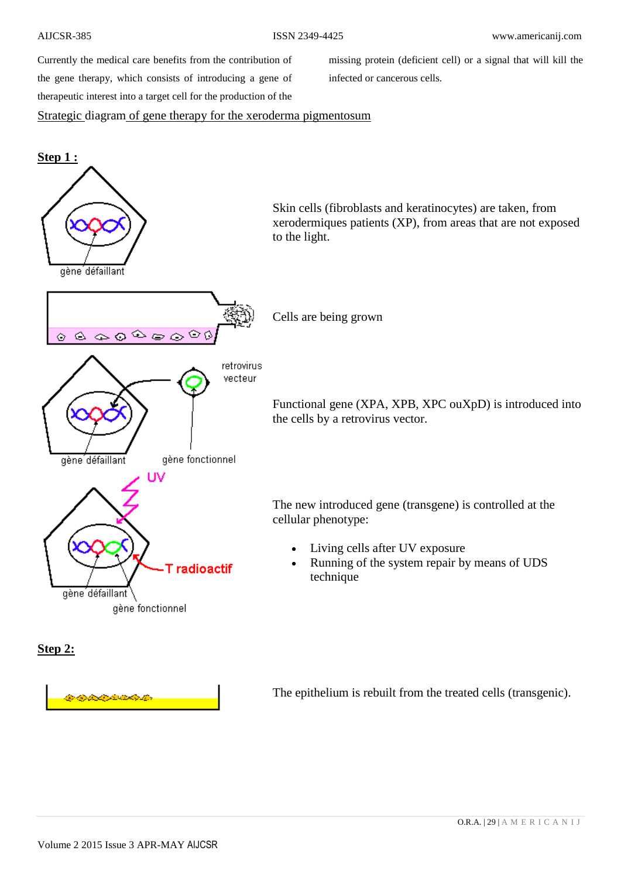Currently the medical care benefits from the contribution of the gene therapy, which consists of introducing a gene of therapeutic interest into a target cell for the production of the

missing protein (deficient cell) or a signal that will kill the infected or cancerous cells.

#### Strategic diagram of gene therapy for the xeroderma pigmentosum



**Step 2:**

The epithelium is rebuilt from the treated cells (transgenic).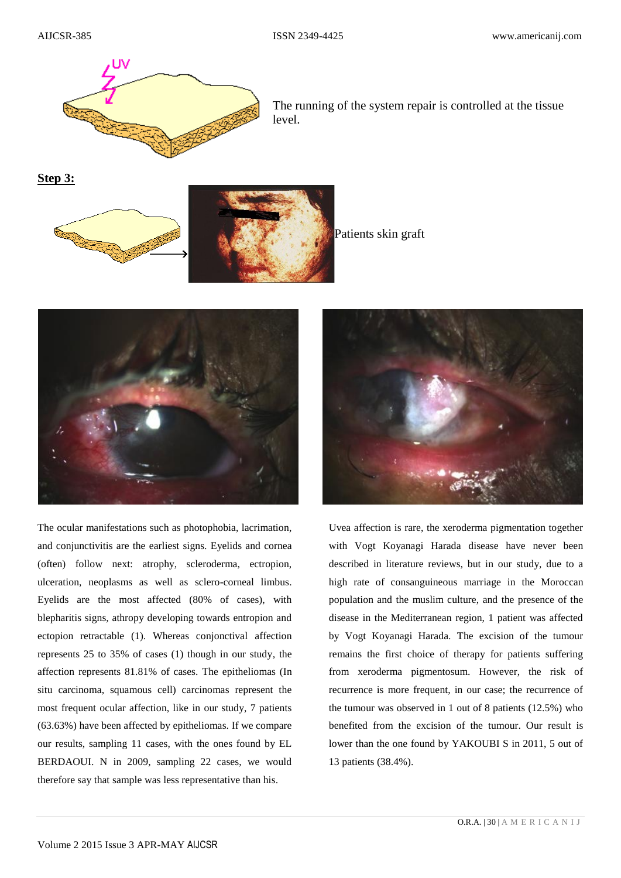

The running of the system repair is controlled at the tissue level.

**Step 3:**



Patients skin graft



The ocular manifestations such as photophobia, lacrimation, and conjunctivitis are the earliest signs. Eyelids and cornea (often) follow next: atrophy, scleroderma, ectropion, ulceration, neoplasms as well as sclero-corneal limbus. Eyelids are the most affected (80% of cases), with blepharitis signs, athropy developing towards entropion and ectopion retractable (1). Whereas conjonctival affection represents 25 to 35% of cases (1) though in our study, the affection represents 81.81% of cases. The epitheliomas (In situ carcinoma, squamous cell) carcinomas represent the most frequent ocular affection, like in our study, 7 patients (63.63%) have been affected by epitheliomas. If we compare our results, sampling 11 cases, with the ones found by EL BERDAOUI. N in 2009, sampling 22 cases, we would therefore say that sample was less representative than his.



Uvea affection is rare, the xeroderma pigmentation together with Vogt Koyanagi Harada disease have never been described in literature reviews, but in our study, due to a high rate of consanguineous marriage in the Moroccan population and the muslim culture, and the presence of the disease in the Mediterranean region, 1 patient was affected by Vogt Koyanagi Harada. The excision of the tumour remains the first choice of therapy for patients suffering from xeroderma pigmentosum. However, the risk of recurrence is more frequent, in our case; the recurrence of the tumour was observed in 1 out of 8 patients (12.5%) who benefited from the excision of the tumour. Our result is lower than the one found by YAKOUBI S in 2011, 5 out of 13 patients (38.4%).